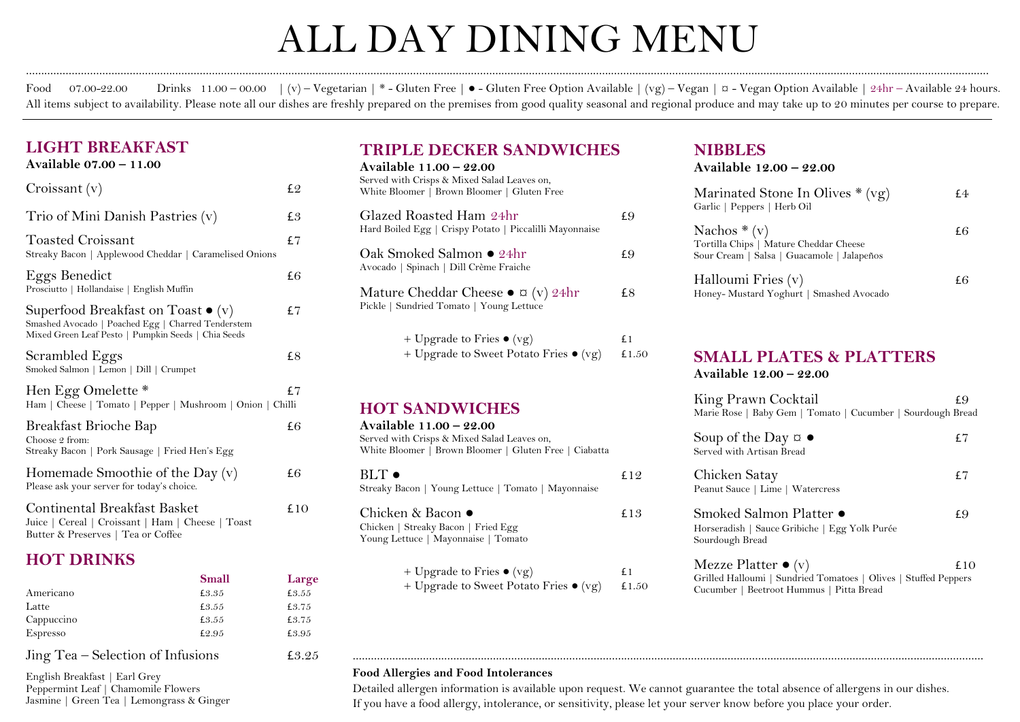# ALL DAY DINING MENU

Food 07.00-22.00 Drinks  $11.00 - 00.00$   $(v) - Vee$ etarian  $*$ -Gluten Free  $\bullet$ -Gluten Free Option Available  $| (vg) - Vega | \Box - Vega$  Option Available  $| 24hr - \Box$ Available 24 hours. All items subject to availability. Please note all our dishes are freshly prepared on the premises from good quality seasonal and regional produce and may take up to 20 minutes per course to prepare.

............................................................................................................................................................................................................................................................................................................................

## **LIGHT BREAKFAST**

| Available 07.00 – 11.00                                                                                                                                 |     |
|---------------------------------------------------------------------------------------------------------------------------------------------------------|-----|
| Croissant (v)                                                                                                                                           | £2  |
| Trio of Mini Danish Pastries (v)                                                                                                                        | £3  |
| <b>Toasted Croissant</b><br>Streaky Bacon   Applewood Cheddar   Caramelised Onions                                                                      | £7  |
| Eggs Benedict<br>Prosciutto   Hollandaise   English Muffin                                                                                              | £6  |
| Superfood Breakfast on Toast $\bullet$ (v)<br>Smashed Avocado   Poached Egg   Charred Tenderstem<br>Mixed Green Leaf Pesto   Pumpkin Seeds   Chia Seeds | £7  |
| Scrambled Eggs<br>Smoked Salmon   Lemon   Dill   Crumpet                                                                                                | £8  |
| Hen Egg Omelette *<br>Ham   Cheese   Tomato   Pepper   Mushroom   Onion   Chilli                                                                        | £7  |
| Breakfast Brioche Bap<br>Choose 2 from:<br>Streaky Bacon   Pork Sausage   Fried Hen's Egg                                                               | £6  |
| Homemade Smoothie of the Day $(v)$<br>Please ask your server for today's choice.                                                                        | £6  |
| Continental Breakfast Basket<br>Juice   Cereal   Croissant   Ham   Cheese   Toast<br>Butter & Preserves   Tea or Coffee                                 | £10 |

## **HOT DRINKS**

|            | <b>Small</b> | Large |
|------------|--------------|-------|
| Americano  | £3.35        | £3.55 |
| Latte      | £3.55        | £3.75 |
| Cappuccino | £3.55        | £3.75 |
| Espresso   | £2.95        | £3.95 |
|            |              |       |

Jing Tea – Selection of Infusions £3.25

English Breakfast | Earl Grey Peppermint Leaf | Chamomile Flowers Jasmine | Green Tea | Lemongrass & Ginger

## **TRIPLE DECKER SANDWICHES**

| £9    |
|-------|
|       |
|       |
| £9    |
|       |
|       |
| £8    |
|       |
|       |
| £1    |
| £1.50 |
|       |

## **HOT SANDWICHES**

| Available 11.00 - 22.00                                |       |
|--------------------------------------------------------|-------|
| Served with Crisps & Mixed Salad Leaves on,            |       |
| White Bloomer   Brown Bloomer   Gluten Free   Ciabatta |       |
| $BLT$ $\bullet$                                        | £12   |
| Streaky Bacon   Young Lettuce   Tomato   Mayonnaise    |       |
| Chicken & Bacon ●                                      | £13   |
| Chicken   Streaky Bacon   Fried Egg                    |       |
| Young Lettuce   Mayonnaise   Tomato                    |       |
| + Upgrade to Fries $\bullet$ (vg)                      | f 1   |
| + Upgrade to Sweet Potato Fries $\bullet$ (vg)         | £1.50 |

## **NIBBLES**

| Available 12.00 - 22.00 |
|-------------------------|
|                         |

| Marinated Stone In Olives $*(vg)$<br>Garlic   Peppers   Herb Oil                                      | + 4 |
|-------------------------------------------------------------------------------------------------------|-----|
| Nachos $*(v)$<br>Tortilla Chips   Mature Cheddar Cheese<br>Sour Cream   Salsa   Guacamole   Jalapeños | f6  |
| Halloumi Fries $(v)$<br>Honey- Mustard Yoghurt   Smashed Avocado                                      | f6  |

## **SMALL PLATES & PLATTERS**

**Available 12.00 – 22.00**

| King Prawn Cocktail<br>Marie Rose   Baby Gem   Tomato   Cucumber   Sourdough Bread                                                         | £9  |
|--------------------------------------------------------------------------------------------------------------------------------------------|-----|
| Soup of the Day $\alpha \bullet$<br>Served with Artisan Bread                                                                              | £7  |
| Chicken Satay<br>Peanut Sauce   Lime   Watercress                                                                                          | £7  |
| Smoked Salmon Platter ●<br>Horseradish   Sauce Gribiche   Egg Yolk Purée<br>Sourdough Bread                                                | £9  |
| Mezze Platter $\bullet$ (v)<br>Grilled Halloumi   Sundried Tomatoes   Olives   Stuffed Peppers<br>Cucumber   Beetroot Hummus   Pitta Bread | £10 |

#### **Food Allergies and Food Intolerances**

Detailed allergen information is available upon request. We cannot guarantee the total absence of allergens in our dishes. If you have a food allergy, intolerance, or sensitivity, please let your server know before you place your order.

...............................................................................................................................................................................................................